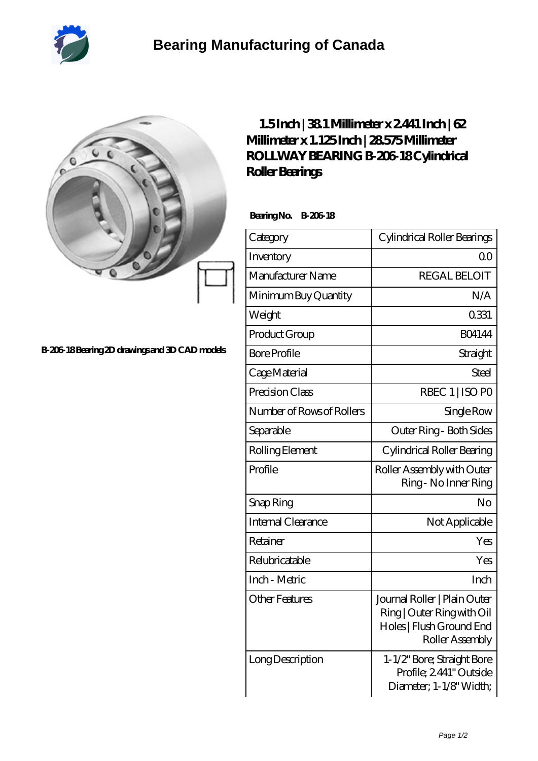

## **[B-206-18 Bearing 2D drawings and 3D CAD models](https://2whm.net/pic-264880.html)**

## **[1.5 Inch | 38.1 Millimeter x 2.441 Inch | 62](https://2whm.net/bj-264880-rollway-bearing-b-206-18-cylindrical-roller-bearings.html) [Millimeter x 1.125 Inch | 28.575 Millimeter](https://2whm.net/bj-264880-rollway-bearing-b-206-18-cylindrical-roller-bearings.html) [ROLLWAY BEARING B-206-18 Cylindrical](https://2whm.net/bj-264880-rollway-bearing-b-206-18-cylindrical-roller-bearings.html) [Roller Bearings](https://2whm.net/bj-264880-rollway-bearing-b-206-18-cylindrical-roller-bearings.html)**

 **Bearing No. B-206-18**

| Category                  | Cylindrical Roller Bearings                                                                               |  |
|---------------------------|-----------------------------------------------------------------------------------------------------------|--|
| Inventory                 | QO                                                                                                        |  |
| Manufacturer Name         | <b>REGAL BELOIT</b>                                                                                       |  |
| Minimum Buy Quantity      | N/A                                                                                                       |  |
| Weight                    | 0331                                                                                                      |  |
| Product Group             | <b>BO4144</b>                                                                                             |  |
| <b>Bore Profile</b>       | Straight                                                                                                  |  |
| Cage Material             | <b>Steel</b>                                                                                              |  |
| Precision Class           | RBEC 1   ISO PO                                                                                           |  |
| Number of Rows of Rollers | Single Row                                                                                                |  |
| Separable                 | Outer Ring - Both Sides                                                                                   |  |
| Rolling Element           | Cylindrical Roller Bearing                                                                                |  |
| Profile                   | Roller Assembly with Outer<br>Ring - No Inner Ring                                                        |  |
| Snap Ring                 | No                                                                                                        |  |
| <b>Internal Clearance</b> | Not Applicable                                                                                            |  |
| Retainer                  | Yes                                                                                                       |  |
| Relubricatable            | Yes                                                                                                       |  |
| Inch - Metric             | Inch                                                                                                      |  |
| <b>Other Features</b>     | Journal Roller   Plain Outer<br>Ring   Outer Ring with Oil<br>Holes   Flush Ground End<br>Roller Assembly |  |
| Long Description          | 1-1/2" Bore; Straight Bore<br>Profile; 2441" Outside<br>Diameter; 1-1/8" Width;                           |  |